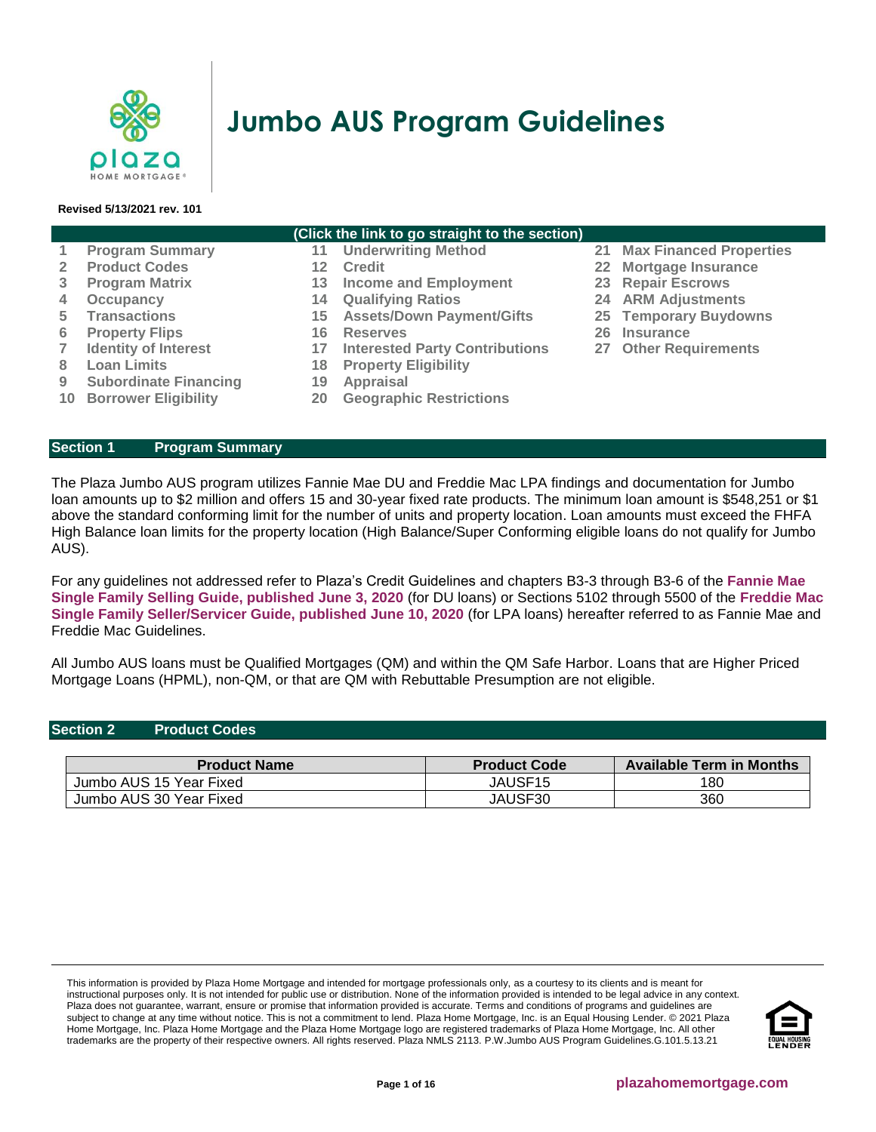

# **Jumbo AUS Program Guidelines**

#### **Revised 5/13/2021 rev. 101**

| (Click the link to go straight to the section) |                                |    |                                       |    |                                   |  |  |  |
|------------------------------------------------|--------------------------------|----|---------------------------------------|----|-----------------------------------|--|--|--|
|                                                | <b>Program Summary</b>         | 11 | <b>Underwriting Method</b>            |    | <b>21 Max Financed Properties</b> |  |  |  |
|                                                | <b>Product Codes</b>           | 12 | <b>Credit</b>                         |    | 22 Mortgage Insurance             |  |  |  |
| 3                                              | <b>Program Matrix</b>          | 13 | <b>Income and Employment</b>          |    | 23 Repair Escrows                 |  |  |  |
| 4                                              | Occupancy                      | 14 | <b>Qualifying Ratios</b>              |    | <b>24 ARM Adjustments</b>         |  |  |  |
| 5.                                             | <b>Transactions</b>            | 15 | <b>Assets/Down Payment/Gifts</b>      |    | 25 Temporary Buydowns             |  |  |  |
| 6                                              | <b>Property Flips</b>          | 16 | <b>Reserves</b>                       | 26 | <b>Insurance</b>                  |  |  |  |
|                                                | <b>Identity of Interest</b>    | 17 | <b>Interested Party Contributions</b> |    | 27 Other Requirements             |  |  |  |
| 8                                              | <b>Loan Limits</b>             | 18 | <b>Property Eligibility</b>           |    |                                   |  |  |  |
| 9                                              | <b>Subordinate Financing</b>   | 19 | Appraisal                             |    |                                   |  |  |  |
|                                                | <b>10 Borrower Eligibility</b> | 20 | <b>Geographic Restrictions</b>        |    |                                   |  |  |  |

# <span id="page-0-0"></span>**Section 1 [Program Summary](#page-0-0)**

The Plaza Jumbo AUS program utilizes Fannie Mae DU and Freddie Mac LPA findings and documentation for Jumbo loan amounts up to \$2 million and offers 15 and 30-year fixed rate products. The minimum loan amount is \$548,251 or \$1 above the standard conforming limit for the number of units and property location. Loan amounts must exceed the FHFA High Balance loan limits for the property location (High Balance/Super Conforming eligible loans do not qualify for Jumbo AUS).

For any guidelines not addressed refer to Plaza's Credit Guidelines and chapters B3-3 through B3-6 of the **[Fannie Mae](https://f.hubspotusercontent10.net/hubfs/5238866/Program%20Updates/Fannie%20Mae%20Selling%20Guide%20June%202020_B3-3to3-6.pdf)  Single Family [Selling Guide, published June 3, 2020](https://f.hubspotusercontent10.net/hubfs/5238866/Program%20Updates/Fannie%20Mae%20Selling%20Guide%20June%202020_B3-3to3-6.pdf)** (for DU loans) or Sections 5102 through 5500 of the **[Freddie Mac](https://f.hubspotusercontent10.net/hubfs/5238866/Program%20Updates/Freddie%20Mac%20Seller%20Servicer%20Guide_06.24.20.pdf)  Single [Family Seller/Servicer Guide, published June 10, 2020](https://f.hubspotusercontent10.net/hubfs/5238866/Program%20Updates/Freddie%20Mac%20Seller%20Servicer%20Guide_06.24.20.pdf)** (for LPA loans) hereafter referred to as Fannie Mae and Freddie Mac Guidelines.

All Jumbo AUS loans must be Qualified Mortgages (QM) and within the QM Safe Harbor. Loans that are Higher Priced Mortgage Loans (HPML), non-QM, or that are QM with Rebuttable Presumption are not eligible.

#### <span id="page-0-1"></span>**Section 2 Product Codes**

| <b>Product Name</b>     | <b>Product Code</b> | <b>Available Term in Months</b> |
|-------------------------|---------------------|---------------------------------|
| Jumbo AUS 15 Year Fixed | JAUSF15             | 180                             |
| Jumbo AUS 30 Year Fixed | JAUSF30             | 360                             |

This information is provided by Plaza Home Mortgage and intended for mortgage professionals only, as a courtesy to its clients and is meant for instructional purposes only. It is not intended for public use or distribution. None of the information provided is intended to be legal advice in any context. Plaza does not guarantee, warrant, ensure or promise that information provided is accurate. Terms and conditions of programs and guidelines are subject to change at any time without notice. This is not a commitment to lend. Plaza Home Mortgage, Inc. is an Equal Housing Lender. © 2021 Plaza Home Mortgage, Inc. Plaza Home Mortgage and the Plaza Home Mortgage logo are registered trademarks of Plaza Home Mortgage, Inc. All other trademarks are the property of their respective owners. All rights reserved. Plaza NMLS 2113. P.W.Jumbo AUS Program Guidelines.G.101.5.13.21

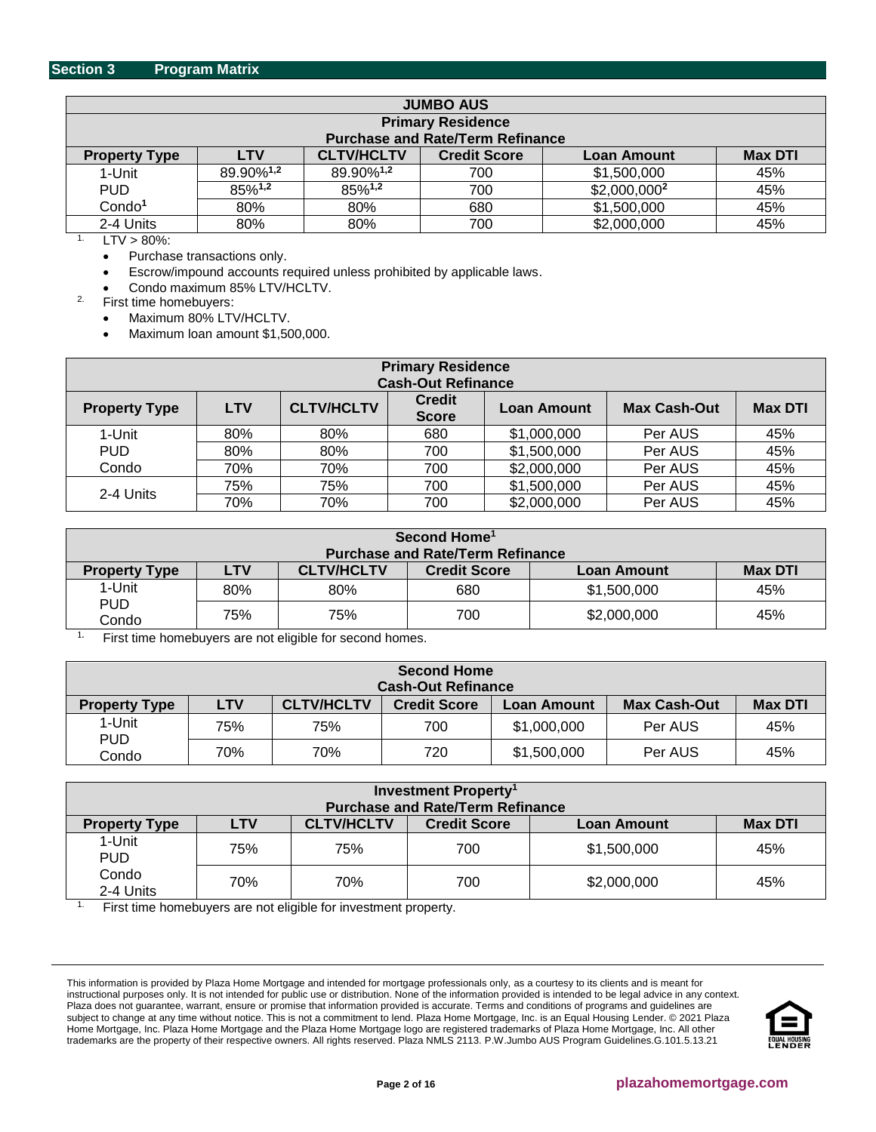<span id="page-1-0"></span>

| <b>JUMBO AUS</b>                                     |                                         |                       |                     |                          |                |  |  |  |
|------------------------------------------------------|-----------------------------------------|-----------------------|---------------------|--------------------------|----------------|--|--|--|
|                                                      | <b>Primary Residence</b>                |                       |                     |                          |                |  |  |  |
|                                                      | <b>Purchase and Rate/Term Refinance</b> |                       |                     |                          |                |  |  |  |
| <b>Property Type</b>                                 | LTV                                     | <b>CLTV/HCLTV</b>     | <b>Credit Score</b> | <b>Loan Amount</b>       | <b>Max DTI</b> |  |  |  |
| 1-Unit                                               | 89.90% <sup>1,2</sup>                   | 89.90% <sup>1,2</sup> | 700                 | \$1,500,000              | 45%            |  |  |  |
| <b>PUD</b>                                           | 85%1,2                                  | 85%1,2                | 700                 | \$2,000,000 <sup>2</sup> | 45%            |  |  |  |
| Condo <sup>1</sup>                                   | 80%                                     | 80%                   | 680                 | \$1,500,000              | 45%            |  |  |  |
| 2-4 Units<br>\$2,000,000<br>80%<br>80%<br>700<br>45% |                                         |                       |                     |                          |                |  |  |  |
| $T1$ , $000$ ,                                       |                                         |                       |                     |                          |                |  |  |  |

 $LTV$  > 80%:

• Purchase transactions only.

• Escrow/impound accounts required unless prohibited by applicable laws.

• Condo maximum 85% LTV/HCLTV.

2. First time homebuyers:

• Maximum 80% LTV/HCLTV.

• Maximum loan amount \$1,500,000.

| <b>Primary Residence</b><br><b>Cash-Out Refinance</b> |            |                   |                               |                    |                     |                |  |
|-------------------------------------------------------|------------|-------------------|-------------------------------|--------------------|---------------------|----------------|--|
| <b>Property Type</b>                                  | <b>LTV</b> | <b>CLTV/HCLTV</b> | <b>Credit</b><br><b>Score</b> | <b>Loan Amount</b> | <b>Max Cash-Out</b> | <b>Max DTI</b> |  |
| 1-Unit                                                | 80%        | 80%               | 680                           | \$1,000,000        | Per AUS             | 45%            |  |
| <b>PUD</b>                                            | 80%        | 80%               | 700                           | \$1,500,000        | Per AUS             | 45%            |  |
| Condo                                                 | 70%        | 70%               | 700                           | \$2,000,000        | Per AUS             | 45%            |  |
| 2-4 Units                                             | 75%        | 75%               | 700                           | \$1,500,000        | Per AUS             | 45%            |  |
|                                                       | 70%        | 70%               | 700                           | \$2,000,000        | Per AUS             | 45%            |  |

| Second Home <sup>1</sup> |                                         |                   |                     |             |                |  |  |  |  |
|--------------------------|-----------------------------------------|-------------------|---------------------|-------------|----------------|--|--|--|--|
|                          | <b>Purchase and Rate/Term Refinance</b> |                   |                     |             |                |  |  |  |  |
| <b>Property Type</b>     | LTV                                     | <b>CLTV/HCLTV</b> | <b>Credit Score</b> | Loan Amount | <b>Max DTI</b> |  |  |  |  |
| 1-Unit                   | 80%                                     | 80%               | 680                 | \$1,500,000 | 45%            |  |  |  |  |
| <b>PUD</b><br>Condo      | 75%                                     | 75%               | 700                 | \$2,000,000 | 45%            |  |  |  |  |

<sup>1.</sup> First time homebuyers are not eligible for second homes.

| <b>Second Home</b><br><b>Cash-Out Refinance</b> |            |                   |                     |             |                     |                |  |
|-------------------------------------------------|------------|-------------------|---------------------|-------------|---------------------|----------------|--|
| <b>Property Type</b>                            | <b>LTV</b> | <b>CLTV/HCLTV</b> | <b>Credit Score</b> | Loan Amount | <b>Max Cash-Out</b> | <b>Max DTI</b> |  |
| 1-Unit                                          | 75%        | 75%               | 700                 | \$1,000,000 | Per AUS             | 45%            |  |
| <b>PUD</b><br>Condo                             | 70%        | 70%               | 720                 | \$1,500,000 | Per AUS             | 45%            |  |

| <b>Investment Property<sup>1</sup></b><br><b>Purchase and Rate/Term Refinance</b> |            |                   |                     |             |                |  |  |
|-----------------------------------------------------------------------------------|------------|-------------------|---------------------|-------------|----------------|--|--|
| <b>Property Type</b>                                                              | <b>LTV</b> | <b>CLTV/HCLTV</b> | <b>Credit Score</b> | Loan Amount | <b>Max DTI</b> |  |  |
| 1-Unit<br><b>PUD</b>                                                              | 75%        | 75%               | 700                 | \$1,500,000 | 45%            |  |  |
| Condo<br>2-4 Units                                                                | 70%        | 70%               | 700                 | \$2,000,000 | 45%            |  |  |

<sup>1.</sup> First time homebuyers are not eligible for investment property.

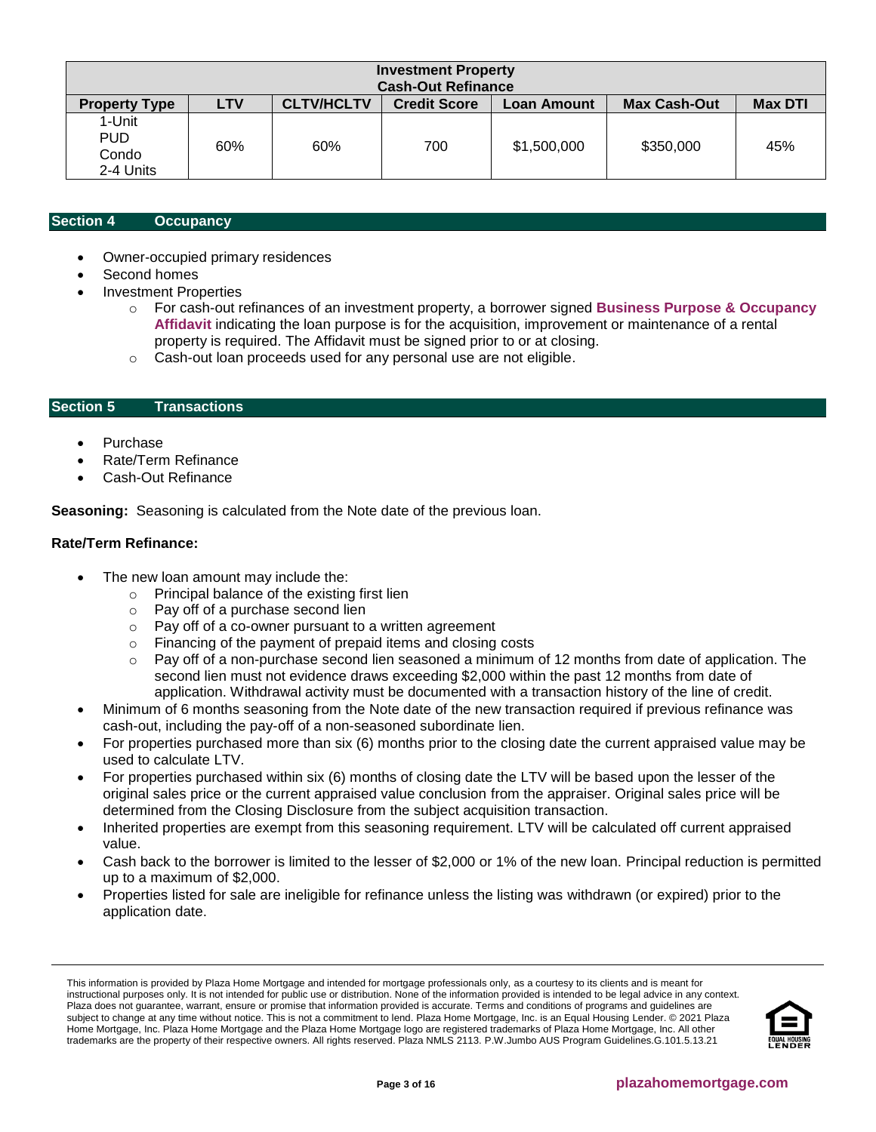| <b>Investment Property</b><br><b>Cash-Out Refinance</b> |            |                   |                     |             |                     |                |  |
|---------------------------------------------------------|------------|-------------------|---------------------|-------------|---------------------|----------------|--|
| <b>Property Type</b>                                    | <b>LTV</b> | <b>CLTV/HCLTV</b> | <b>Credit Score</b> | Loan Amount | <b>Max Cash-Out</b> | <b>Max DTI</b> |  |
| 1-Unit<br><b>PUD</b><br>Condo<br>2-4 Units              | 60%        | 60%               | 700                 | \$1,500,000 | \$350,000           | 45%            |  |

#### <span id="page-2-0"></span>**Section 4 [Occupancy](#page-5-0)**

- Owner-occupied primary residences
- Second homes
- Investment Properties
	- o For cash-out refinances of an investment property, a borrower signed **[Business Purpose & Occupancy](https://f.hubspotusercontent10.net/hubfs/5238866/Program%20Updates/Business%20Purpose%20and%20Occupancy%20Affidavit.pdf)  [Affidavit](https://f.hubspotusercontent10.net/hubfs/5238866/Program%20Updates/Business%20Purpose%20and%20Occupancy%20Affidavit.pdf)** indicating the loan purpose is for the acquisition, improvement or maintenance of a rental property is required. The Affidavit must be signed prior to or at closing.
	- o Cash-out loan proceeds used for any personal use are not eligible.

### <span id="page-2-1"></span>**Section 5 Transactions**

- Purchase
- Rate/Term Refinance
- Cash-Out Refinance

**Seasoning:** Seasoning is calculated from the Note date of the previous loan.

## **Rate/Term Refinance:**

- The new loan amount may include the:
	- o Principal balance of the existing first lien
	- o Pay off of a purchase second lien
	- o Pay off of a co-owner pursuant to a written agreement
	- o Financing of the payment of prepaid items and closing costs
	- $\circ$  Pay off of a non-purchase second lien seasoned a minimum of 12 months from date of application. The second lien must not evidence draws exceeding \$2,000 within the past 12 months from date of application. Withdrawal activity must be documented with a transaction history of the line of credit.
- Minimum of 6 months seasoning from the Note date of the new transaction required if previous refinance was cash-out, including the pay-off of a non-seasoned subordinate lien.
- For properties purchased more than six (6) months prior to the closing date the current appraised value may be used to calculate LTV.
- For properties purchased within six (6) months of closing date the LTV will be based upon the lesser of the original sales price or the current appraised value conclusion from the appraiser. Original sales price will be determined from the Closing Disclosure from the subject acquisition transaction.
- Inherited properties are exempt from this seasoning requirement. LTV will be calculated off current appraised value.
- Cash back to the borrower is limited to the lesser of \$2,000 or 1% of the new loan. Principal reduction is permitted up to a maximum of \$2,000.
- Properties listed for sale are ineligible for refinance unless the listing was withdrawn (or expired) prior to the application date.

This information is provided by Plaza Home Mortgage and intended for mortgage professionals only, as a courtesy to its clients and is meant for instructional purposes only. It is not intended for public use or distribution. None of the information provided is intended to be legal advice in any context. Plaza does not guarantee, warrant, ensure or promise that information provided is accurate. Terms and conditions of programs and guidelines are subject to change at any time without notice. This is not a commitment to lend. Plaza Home Mortgage, Inc. is an Equal Housing Lender. © 2021 Plaza Home Mortgage, Inc. Plaza Home Mortgage and the Plaza Home Mortgage logo are registered trademarks of Plaza Home Mortgage, Inc. All other trademarks are the property of their respective owners. All rights reserved. Plaza NMLS 2113. P.W.Jumbo AUS Program Guidelines.G.101.5.13.21

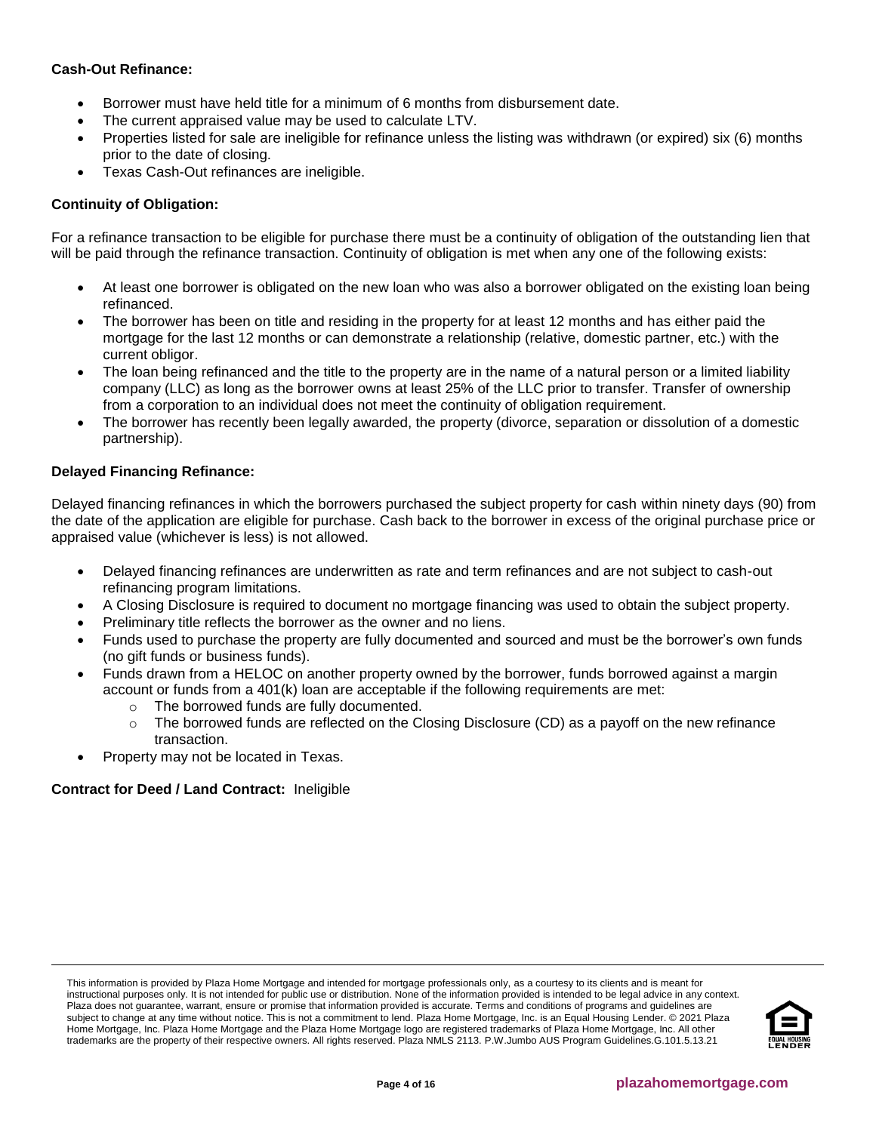# **Cash-Out Refinance:**

- Borrower must have held title for a minimum of 6 months from disbursement date.
- The current appraised value may be used to calculate LTV.
- Properties listed for sale are ineligible for refinance unless the listing was withdrawn (or expired) six (6) months prior to the date of closing.
- Texas Cash-Out refinances are ineligible.

# **Continuity of Obligation:**

For a refinance transaction to be eligible for purchase there must be a continuity of obligation of the outstanding lien that will be paid through the refinance transaction. Continuity of obligation is met when any one of the following exists:

- At least one borrower is obligated on the new loan who was also a borrower obligated on the existing loan being refinanced.
- The borrower has been on title and residing in the property for at least 12 months and has either paid the mortgage for the last 12 months or can demonstrate a relationship (relative, domestic partner, etc.) with the current obligor.
- The loan being refinanced and the title to the property are in the name of a natural person or a limited liability company (LLC) as long as the borrower owns at least 25% of the LLC prior to transfer. Transfer of ownership from a corporation to an individual does not meet the continuity of obligation requirement.
- The borrower has recently been legally awarded, the property (divorce, separation or dissolution of a domestic partnership).

## **Delayed Financing Refinance:**

Delayed financing refinances in which the borrowers purchased the subject property for cash within ninety days (90) from the date of the application are eligible for purchase. Cash back to the borrower in excess of the original purchase price or appraised value (whichever is less) is not allowed.

- Delayed financing refinances are underwritten as rate and term refinances and are not subject to cash-out refinancing program limitations.
- A Closing Disclosure is required to document no mortgage financing was used to obtain the subject property.
- Preliminary title reflects the borrower as the owner and no liens.
- Funds used to purchase the property are fully documented and sourced and must be the borrower's own funds (no gift funds or business funds).
- Funds drawn from a HELOC on another property owned by the borrower, funds borrowed against a margin account or funds from a 401(k) loan are acceptable if the following requirements are met:
	- o The borrowed funds are fully documented.
	- o The borrowed funds are reflected on the Closing Disclosure (CD) as a payoff on the new refinance transaction.
- Property may not be located in Texas.

# **Contract for Deed / Land Contract:** Ineligible

This information is provided by Plaza Home Mortgage and intended for mortgage professionals only, as a courtesy to its clients and is meant for instructional purposes only. It is not intended for public use or distribution. None of the information provided is intended to be legal advice in any context. Plaza does not guarantee, warrant, ensure or promise that information provided is accurate. Terms and conditions of programs and guidelines are subject to change at any time without notice. This is not a commitment to lend. Plaza Home Mortgage, Inc. is an Equal Housing Lender. © 2021 Plaza Home Mortgage, Inc. Plaza Home Mortgage and the Plaza Home Mortgage logo are registered trademarks of Plaza Home Mortgage, Inc. All other trademarks are the property of their respective owners. All rights reserved. Plaza NMLS 2113. P.W.Jumbo AUS Program Guidelines.G.101.5.13.21

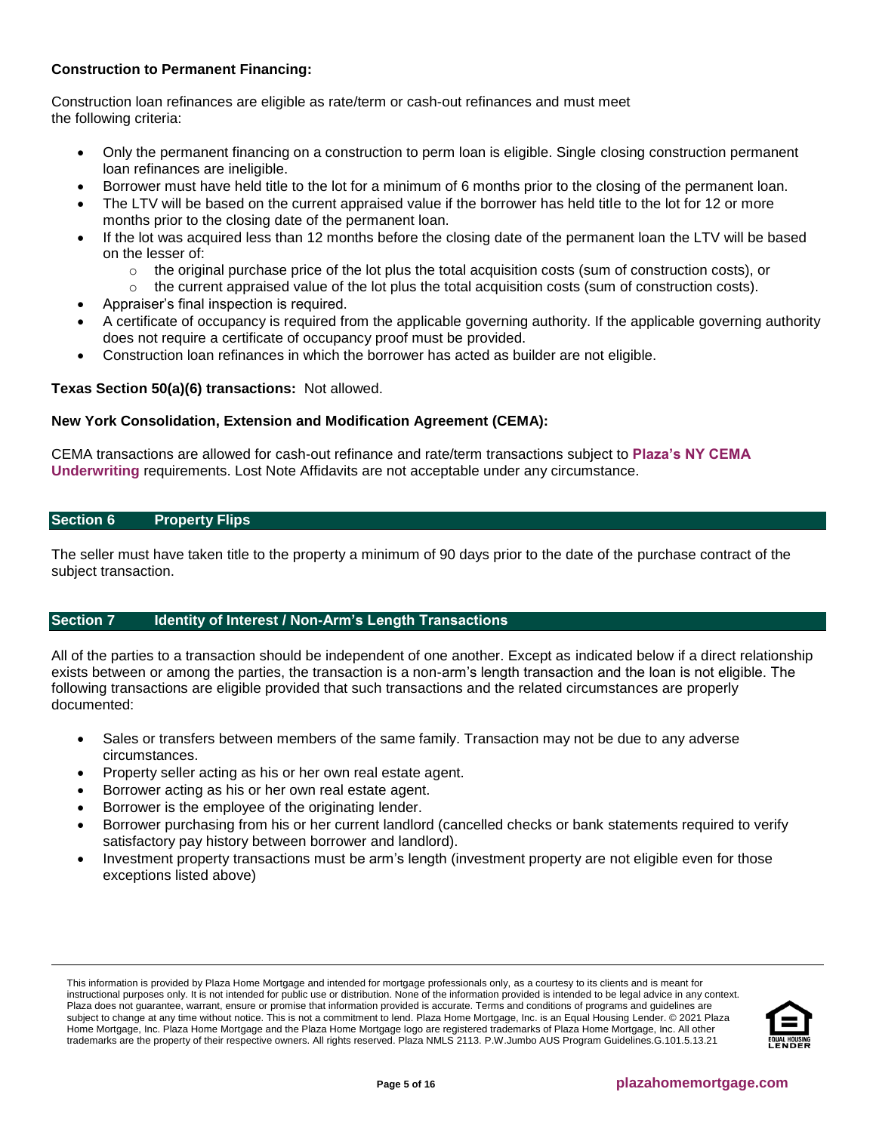# **Construction to Permanent Financing:**

Construction loan refinances are eligible as rate/term or cash-out refinances and must meet the following criteria:

- Only the permanent financing on a construction to perm loan is eligible. Single closing construction permanent loan refinances are ineligible.
- Borrower must have held title to the lot for a minimum of 6 months prior to the closing of the permanent loan.
- The LTV will be based on the current appraised value if the borrower has held title to the lot for 12 or more months prior to the closing date of the permanent loan.
- If the lot was acquired less than 12 months before the closing date of the permanent loan the LTV will be based on the lesser of:
	- $\circ$  the original purchase price of the lot plus the total acquisition costs (sum of construction costs), or
	- $\circ$  the current appraised value of the lot plus the total acquisition costs (sum of construction costs).
- Appraiser's final inspection is required.
- A certificate of occupancy is required from the applicable governing authority. If the applicable governing authority does not require a certificate of occupancy proof must be provided.
- Construction loan refinances in which the borrower has acted as builder are not eligible.

## **Texas Section 50(a)(6) transactions:** Not allowed.

## **New York Consolidation, Extension and Modification Agreement (CEMA):**

CEMA transactions are allowed for cash-out refinance and rate/term transactions subject to **[Plaza's NY CEMA](https://resourcecenter.plazahomemortgage.com/phmidocpublisher.nsf/All/9384F0C91F00A1C088257F630077E55B?OpenDocument)  [Underwriting](https://resourcecenter.plazahomemortgage.com/phmidocpublisher.nsf/All/9384F0C91F00A1C088257F630077E55B?OpenDocument)** requirements. Lost Note Affidavits are not acceptable under any circumstance.

### <span id="page-4-0"></span>**Section 6 Property Flips**

The seller must have taken title to the property a minimum of 90 days prior to the date of the purchase contract of the subject transaction.

#### <span id="page-4-1"></span>**Section 7 Identity of Interest / Non-Arm's Length Transactions**

All of the parties to a transaction should be independent of one another. Except as indicated below if a direct relationship exists between or among the parties, the transaction is a non-arm's length transaction and the loan is not eligible. The following transactions are eligible provided that such transactions and the related circumstances are properly documented:

- Sales or transfers between members of the same family. Transaction may not be due to any adverse circumstances.
- Property seller acting as his or her own real estate agent.
- Borrower acting as his or her own real estate agent.
- Borrower is the employee of the originating lender.
- Borrower purchasing from his or her current landlord (cancelled checks or bank statements required to verify satisfactory pay history between borrower and landlord).
- Investment property transactions must be arm's length (investment property are not eligible even for those exceptions listed above)

This information is provided by Plaza Home Mortgage and intended for mortgage professionals only, as a courtesy to its clients and is meant for instructional purposes only. It is not intended for public use or distribution. None of the information provided is intended to be legal advice in any context. Plaza does not guarantee, warrant, ensure or promise that information provided is accurate. Terms and conditions of programs and guidelines are subject to change at any time without notice. This is not a commitment to lend. Plaza Home Mortgage, Inc. is an Equal Housing Lender. © 2021 Plaza Home Mortgage, Inc. Plaza Home Mortgage and the Plaza Home Mortgage logo are registered trademarks of Plaza Home Mortgage, Inc. All other trademarks are the property of their respective owners. All rights reserved. Plaza NMLS 2113. P.W.Jumbo AUS Program Guidelines.G.101.5.13.21

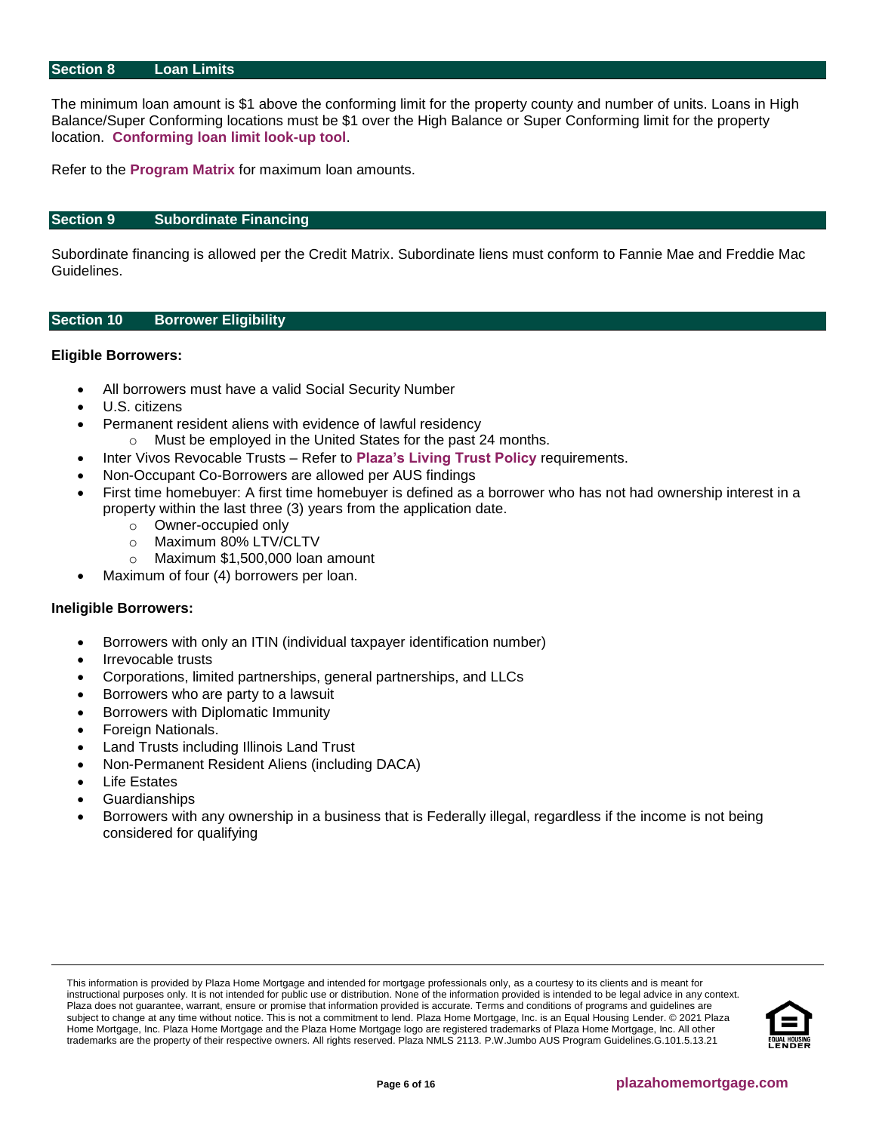#### <span id="page-5-0"></span>**Section 8 Loan Limits**

The minimum loan amount is \$1 above the conforming limit for the property county and number of units. Loans in High Balance/Super Conforming locations must be \$1 over the High Balance or Super Conforming limit for the property location. **[Conforming loan limit look-up tool](https://www.fanniemae.com/singlefamily/loan-limits)**.

Refer to the **[Program Matrix](#page-1-0)** for maximum loan amounts.

#### <span id="page-5-1"></span>**Section 9 Subordinate Financing**

Subordinate financing is allowed per the Credit Matrix. Subordinate liens must conform to Fannie Mae and Freddie Mac Guidelines.

#### <span id="page-5-2"></span>**Section 10 Borrower Eligibility**

#### **Eligible Borrowers:**

- All borrowers must have a valid Social Security Number
- U.S. citizens
- Permanent resident aliens with evidence of lawful residency
	- o Must be employed in the United States for the past 24 months.
- Inter Vivos Revocable Trusts Refer to **[Plaza's Living Trust Policy](https://resourcecenter.plazahomemortgage.com/phmidocpublisher.nsf/All/2C8D5371893995E807257B66007577A4?OpenDocument)** requirements.
- Non-Occupant Co-Borrowers are allowed per AUS findings
- First time homebuyer: A first time homebuyer is defined as a borrower who has not had ownership interest in a property within the last three (3) years from the application date.
	- o Owner-occupied only
	- o Maximum 80% LTV/CLTV
	- o Maximum \$1,500,000 loan amount
- Maximum of four (4) borrowers per loan.

#### **Ineligible Borrowers:**

- Borrowers with only an ITIN (individual taxpayer identification number)
- Irrevocable trusts
- Corporations, limited partnerships, general partnerships, and LLCs
- Borrowers who are party to a lawsuit
- Borrowers with Diplomatic Immunity
- Foreign Nationals.
- Land Trusts including Illinois Land Trust
- Non-Permanent Resident Aliens (including DACA)
- **Life Estates**
- Guardianships
- Borrowers with any ownership in a business that is Federally illegal, regardless if the income is not being considered for qualifying

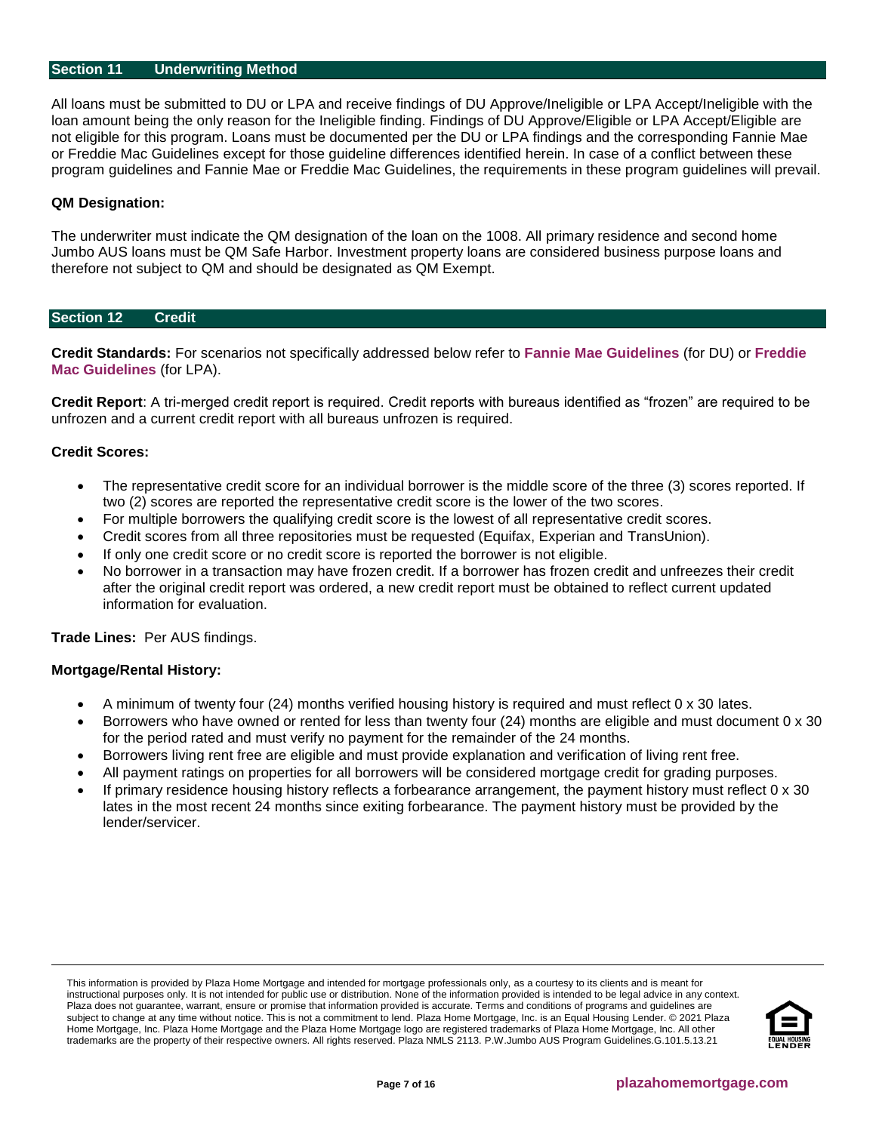#### <span id="page-6-0"></span>**Section 11 [Underwriting Method](#page-6-0)**

All loans must be submitted to DU or LPA and receive findings of DU Approve/Ineligible or LPA Accept/Ineligible with the loan amount being the only reason for the Ineligible finding. Findings of DU Approve/Eligible or LPA Accept/Eligible are not eligible for this program. Loans must be documented per the DU or LPA findings and the corresponding Fannie Mae or Freddie Mac Guidelines except for those guideline differences identified herein. In case of a conflict between these program guidelines and Fannie Mae or Freddie Mac Guidelines, the requirements in these program guidelines will prevail.

#### **QM Designation:**

The underwriter must indicate the QM designation of the loan on the 1008. All primary residence and second home Jumbo AUS loans must be QM Safe Harbor. Investment property loans are considered business purpose loans and therefore not subject to QM and should be designated as QM Exempt.

#### <span id="page-6-1"></span>**Section 12 Credit**

**Credit Standards:** For scenarios not specifically addressed below refer to **[Fannie Mae Guidelines](https://f.hubspotusercontent10.net/hubfs/5238866/Program%20Updates/Fannie%20Mae%20Selling%20Guide%20June%202020_B3-3to3-6.pdf)** (for DU) or **[Freddie](https://f.hubspotusercontent10.net/hubfs/5238866/Program%20Updates/Freddie%20Mac%20Seller%20Servicer%20Guide_06.24.20.pdf)  [Mac Guidelines](https://f.hubspotusercontent10.net/hubfs/5238866/Program%20Updates/Freddie%20Mac%20Seller%20Servicer%20Guide_06.24.20.pdf)** (for LPA).

**Credit Report**: A tri-merged credit report is required. Credit reports with bureaus identified as "frozen" are required to be unfrozen and a current credit report with all bureaus unfrozen is required.

#### **Credit Scores:**

- The representative credit score for an individual borrower is the middle score of the three (3) scores reported. If two (2) scores are reported the representative credit score is the lower of the two scores.
- For multiple borrowers the qualifying credit score is the lowest of all representative credit scores.
- Credit scores from all three repositories must be requested (Equifax, Experian and TransUnion).
- If only one credit score or no credit score is reported the borrower is not eligible.
- No borrower in a transaction may have frozen credit. If a borrower has frozen credit and unfreezes their credit after the original credit report was ordered, a new credit report must be obtained to reflect current updated information for evaluation.

**Trade Lines:** Per AUS findings.

#### **Mortgage/Rental History:**

- A minimum of twenty four (24) months verified housing history is required and must reflect 0 x 30 lates.
- Borrowers who have owned or rented for less than twenty four (24) months are eligible and must document 0 x 30 for the period rated and must verify no payment for the remainder of the 24 months.
- Borrowers living rent free are eligible and must provide explanation and verification of living rent free.
- All payment ratings on properties for all borrowers will be considered mortgage credit for grading purposes.
- If primary residence housing history reflects a forbearance arrangement, the payment history must reflect 0 x 30 lates in the most recent 24 months since exiting forbearance. The payment history must be provided by the lender/servicer.

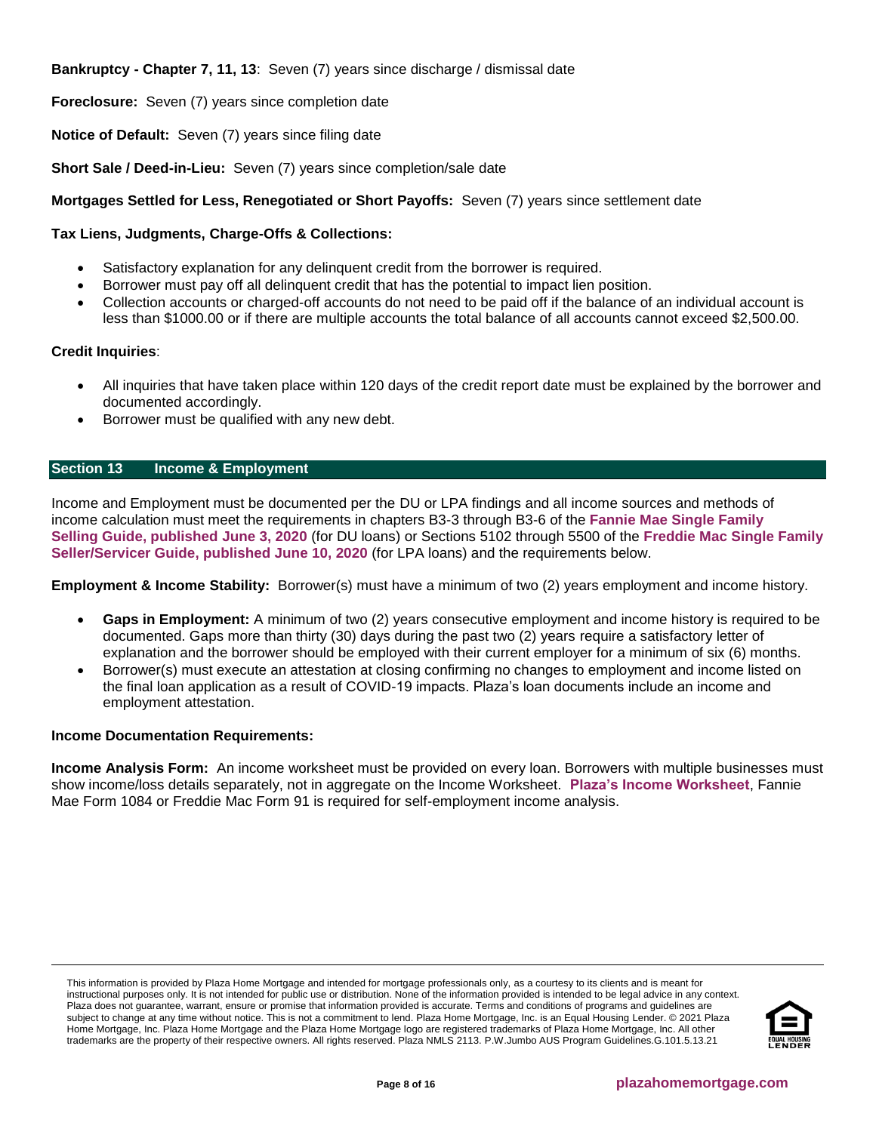**Bankruptcy - Chapter 7, 11, 13**: Seven (7) years since discharge / dismissal date

**Foreclosure:** Seven (7) years since completion date

**Notice of Default:** Seven (7) years since filing date

**Short Sale / Deed-in-Lieu:** Seven (7) years since completion/sale date

# **Mortgages Settled for Less, Renegotiated or Short Payoffs:** Seven (7) years since settlement date

## **Tax Liens, Judgments, Charge-Offs & Collections:**

- Satisfactory explanation for any delinquent credit from the borrower is required.
- Borrower must pay off all delinquent credit that has the potential to impact lien position.
- Collection accounts or charged-off accounts do not need to be paid off if the balance of an individual account is less than \$1000.00 or if there are multiple accounts the total balance of all accounts cannot exceed \$2,500.00.

## **Credit Inquiries**:

- All inquiries that have taken place within 120 days of the credit report date must be explained by the borrower and documented accordingly.
- Borrower must be qualified with any new debt.

# <span id="page-7-0"></span>**Section 13 Income & Employment**

Income and Employment must be documented per the DU or LPA findings and all income sources and methods of income calculation must meet the requirements in chapters B3-3 through B3-6 of the **[Fannie Mae Single Family](https://f.hubspotusercontent10.net/hubfs/5238866/Program%20Updates/Fannie%20Mae%20Selling%20Guide%20June%202020_B3-3to3-6.pdf) [Selling Guide, published June 3, 2020](https://f.hubspotusercontent10.net/hubfs/5238866/Program%20Updates/Fannie%20Mae%20Selling%20Guide%20June%202020_B3-3to3-6.pdf)** (for DU loans) or Sections 5102 through 5500 of the **[Freddie Mac Single](https://f.hubspotusercontent10.net/hubfs/5238866/Program%20Updates/Freddie%20Mac%20Seller%20Servicer%20Guide_06.24.20.pdf) Family [Seller/Servicer Guide, published June 10, 2020](https://f.hubspotusercontent10.net/hubfs/5238866/Program%20Updates/Freddie%20Mac%20Seller%20Servicer%20Guide_06.24.20.pdf)** (for LPA loans) and the requirements below.

**Employment & Income Stability:** Borrower(s) must have a minimum of two (2) years employment and income history.

- **Gaps in Employment:** A minimum of two (2) years consecutive employment and income history is required to be documented. Gaps more than thirty (30) days during the past two (2) years require a satisfactory letter of explanation and the borrower should be employed with their current employer for a minimum of six (6) months.
- Borrower(s) must execute an attestation at closing confirming no changes to employment and income listed on the final loan application as a result of COVID-19 impacts. Plaza's loan documents include an income and employment attestation.

#### **Income Documentation Requirements:**

**Income Analysis Form:** An income worksheet must be provided on every loan. Borrowers with multiple businesses must show income/loss details separately, not in aggregate on the Income Worksheet. **[Plaza's Income Worksheet](https://resourcecenter.plazahomemortgage.com/whocli/all/7b7e6466ba576c4b88258059005aa6fd?opendocument)**, Fannie Mae Form 1084 or Freddie Mac Form 91 is required for self-employment income analysis.

This information is provided by Plaza Home Mortgage and intended for mortgage professionals only, as a courtesy to its clients and is meant for instructional purposes only. It is not intended for public use or distribution. None of the information provided is intended to be legal advice in any context. Plaza does not guarantee, warrant, ensure or promise that information provided is accurate. Terms and conditions of programs and guidelines are subject to change at any time without notice. This is not a commitment to lend. Plaza Home Mortgage, Inc. is an Equal Housing Lender. © 2021 Plaza Home Mortgage, Inc. Plaza Home Mortgage and the Plaza Home Mortgage logo are registered trademarks of Plaza Home Mortgage, Inc. All other trademarks are the property of their respective owners. All rights reserved. Plaza NMLS 2113. P.W.Jumbo AUS Program Guidelines.G.101.5.13.21

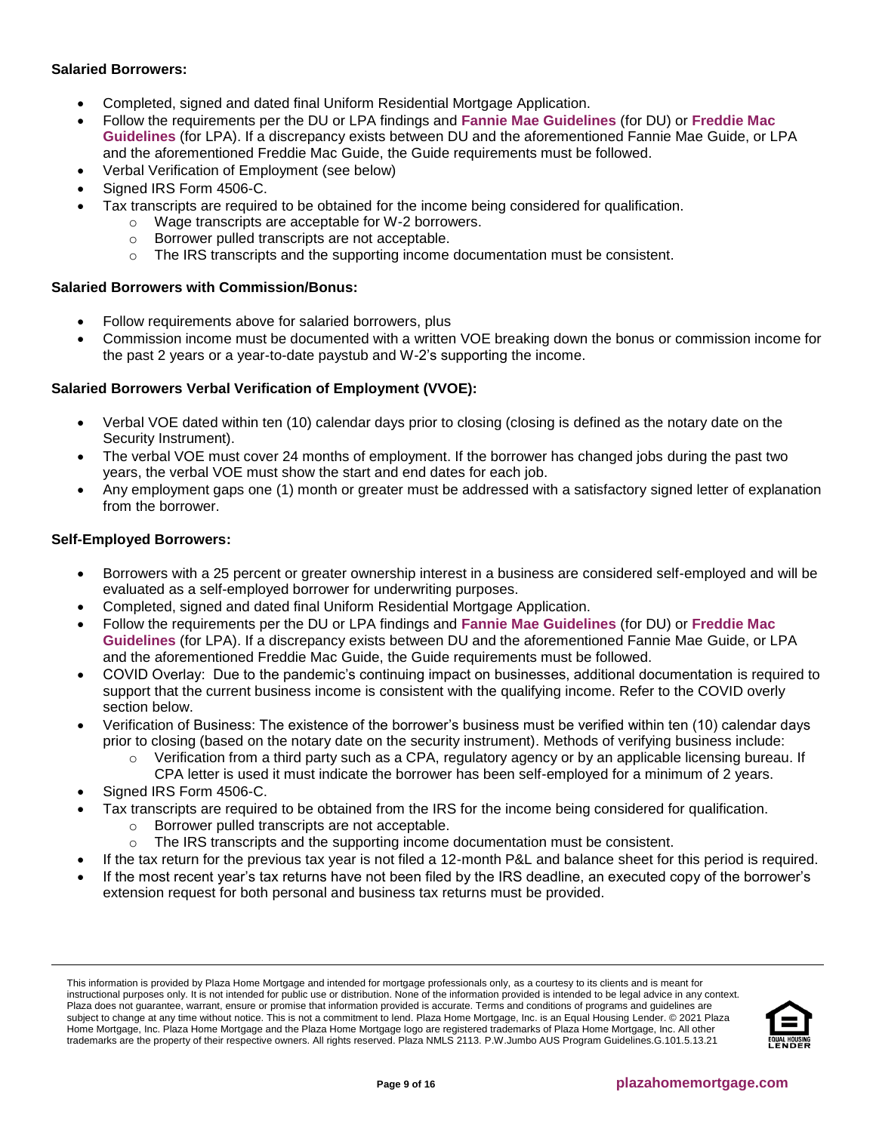## **Salaried Borrowers:**

- Completed, signed and dated final Uniform Residential Mortgage Application.
- Follow the requirements per the DU or LPA findings and **[Fannie Mae Guidelines](https://f.hubspotusercontent10.net/hubfs/5238866/Program%20Updates/Fannie%20Mae%20Selling%20Guide%20June%202020_B3-3to3-6.pdf)** (for DU) or **[Freddie Mac](https://f.hubspotusercontent10.net/hubfs/5238866/Program%20Updates/Freddie%20Mac%20Seller%20Servicer%20Guide_06.24.20.pdf)  [Guidelines](https://f.hubspotusercontent10.net/hubfs/5238866/Program%20Updates/Freddie%20Mac%20Seller%20Servicer%20Guide_06.24.20.pdf)** (for LPA). If a discrepancy exists between DU and the aforementioned Fannie Mae Guide, or LPA and the aforementioned Freddie Mac Guide, the Guide requirements must be followed.
- Verbal Verification of Employment (see below)
- Signed IRS Form 4506-C.
- Tax transcripts are required to be obtained for the income being considered for qualification.
	- o Wage transcripts are acceptable for W-2 borrowers.
	- o Borrower pulled transcripts are not acceptable.
	- $\circ$  The IRS transcripts and the supporting income documentation must be consistent.

# **Salaried Borrowers with Commission/Bonus:**

- Follow requirements above for salaried borrowers, plus
- Commission income must be documented with a written VOE breaking down the bonus or commission income for the past 2 years or a year-to-date paystub and W-2's supporting the income.

# **Salaried Borrowers Verbal Verification of Employment (VVOE):**

- Verbal VOE dated within ten (10) calendar days prior to closing (closing is defined as the notary date on the Security Instrument).
- The verbal VOE must cover 24 months of employment. If the borrower has changed jobs during the past two years, the verbal VOE must show the start and end dates for each job.
- Any employment gaps one (1) month or greater must be addressed with a satisfactory signed letter of explanation from the borrower.

## **Self-Employed Borrowers:**

- Borrowers with a 25 percent or greater ownership interest in a business are considered self-employed and will be evaluated as a self-employed borrower for underwriting purposes.
- Completed, signed and dated final Uniform Residential Mortgage Application.
- Follow the requirements per the DU or LPA findings and **[Fannie Mae Guidelines](https://f.hubspotusercontent10.net/hubfs/5238866/Program%20Updates/Fannie%20Mae%20Selling%20Guide%20June%202020_B3-3to3-6.pdf)** (for DU) or **[Freddie Mac](https://f.hubspotusercontent10.net/hubfs/5238866/Program%20Updates/Freddie%20Mac%20Seller%20Servicer%20Guide_06.24.20.pdf)  [Guidelines](https://f.hubspotusercontent10.net/hubfs/5238866/Program%20Updates/Freddie%20Mac%20Seller%20Servicer%20Guide_06.24.20.pdf)** (for LPA). If a discrepancy exists between DU and the aforementioned Fannie Mae Guide, or LPA and the aforementioned Freddie Mac Guide, the Guide requirements must be followed.
- COVID Overlay: Due to the pandemic's continuing impact on businesses, additional documentation is required to support that the current business income is consistent with the qualifying income. Refer to the COVID overly section below.
- Verification of Business: The existence of the borrower's business must be verified within ten (10) calendar days prior to closing (based on the notary date on the security instrument). Methods of verifying business include:
	- $\circ$  Verification from a third party such as a CPA, regulatory agency or by an applicable licensing bureau. If CPA letter is used it must indicate the borrower has been self-employed for a minimum of 2 years.
- Signed IRS Form 4506-C.
- Tax transcripts are required to be obtained from the IRS for the income being considered for qualification.
	- o Borrower pulled transcripts are not acceptable.
	- o The IRS transcripts and the supporting income documentation must be consistent.
	- If the tax return for the previous tax year is not filed a 12-month P&L and balance sheet for this period is required.
- If the most recent year's tax returns have not been filed by the IRS deadline, an executed copy of the borrower's extension request for both personal and business tax returns must be provided.

This information is provided by Plaza Home Mortgage and intended for mortgage professionals only, as a courtesy to its clients and is meant for instructional purposes only. It is not intended for public use or distribution. None of the information provided is intended to be legal advice in any context. Plaza does not guarantee, warrant, ensure or promise that information provided is accurate. Terms and conditions of programs and guidelines are subject to change at any time without notice. This is not a commitment to lend. Plaza Home Mortgage, Inc. is an Equal Housing Lender. © 2021 Plaza Home Mortgage, Inc. Plaza Home Mortgage and the Plaza Home Mortgage logo are registered trademarks of Plaza Home Mortgage, Inc. All other trademarks are the property of their respective owners. All rights reserved. Plaza NMLS 2113. P.W.Jumbo AUS Program Guidelines.G.101.5.13.21

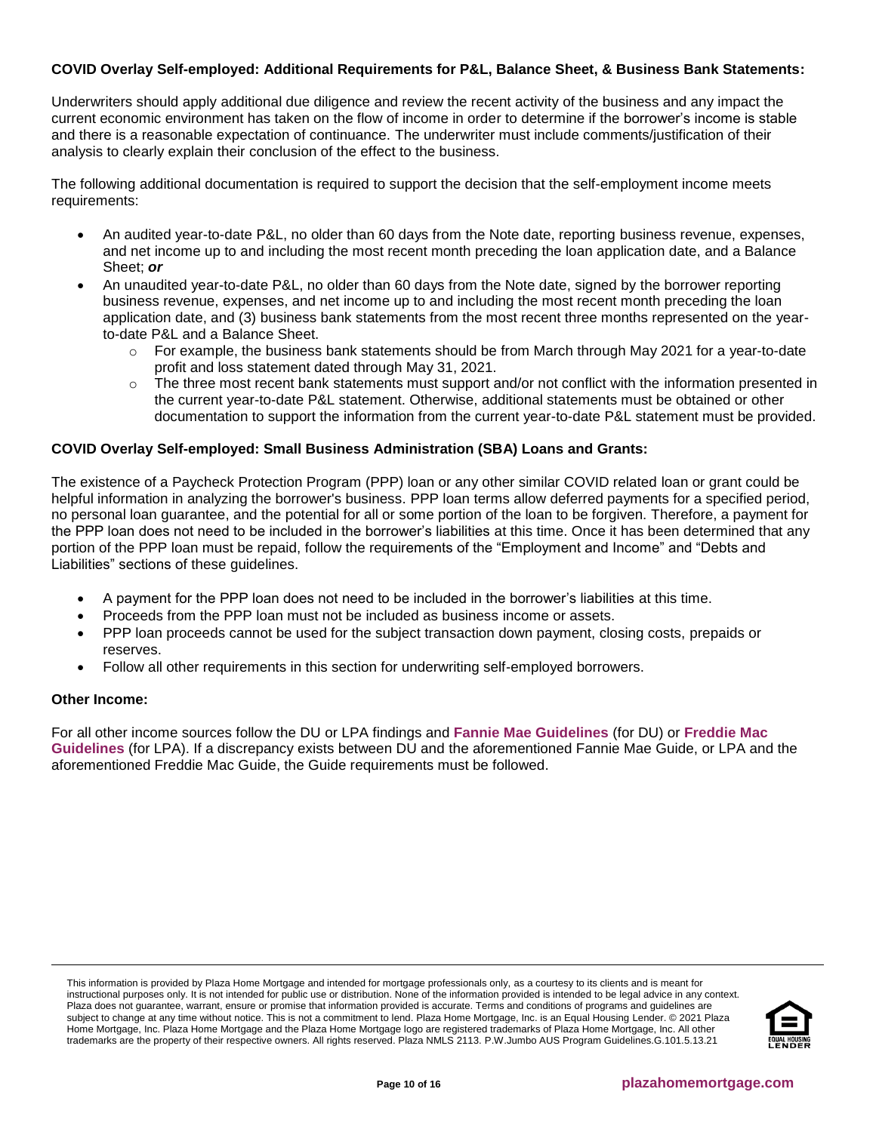## **COVID Overlay Self-employed: Additional Requirements for P&L, Balance Sheet, & Business Bank Statements:**

Underwriters should apply additional due diligence and review the recent activity of the business and any impact the current economic environment has taken on the flow of income in order to determine if the borrower's income is stable and there is a reasonable expectation of continuance. The underwriter must include comments/justification of their analysis to clearly explain their conclusion of the effect to the business.

The following additional documentation is required to support the decision that the self-employment income meets requirements:

- An audited year-to-date P&L, no older than 60 days from the Note date, reporting business revenue, expenses, and net income up to and including the most recent month preceding the loan application date, and a Balance Sheet; *or*
- An unaudited year-to-date P&L, no older than 60 days from the Note date, signed by the borrower reporting business revenue, expenses, and net income up to and including the most recent month preceding the loan application date, and (3) business bank statements from the most recent three months represented on the yearto-date P&L and a Balance Sheet.
	- $\circ$  For example, the business bank statements should be from March through May 2021 for a year-to-date profit and loss statement dated through May 31, 2021.
	- $\circ$  The three most recent bank statements must support and/or not conflict with the information presented in the current year-to-date P&L statement. Otherwise, additional statements must be obtained or other documentation to support the information from the current year-to-date P&L statement must be provided.

## **COVID Overlay Self-employed: Small Business Administration (SBA) Loans and Grants:**

The existence of a Paycheck Protection Program (PPP) loan or any other similar COVID related loan or grant could be helpful information in analyzing the borrower's business. PPP loan terms allow deferred payments for a specified period, no personal loan guarantee, and the potential for all or some portion of the loan to be forgiven. Therefore, a payment for the PPP loan does not need to be included in the borrower's liabilities at this time. Once it has been determined that any portion of the PPP loan must be repaid, follow the requirements of the "Employment and Income" and "Debts and Liabilities" sections of these guidelines.

- A payment for the PPP loan does not need to be included in the borrower's liabilities at this time.
- Proceeds from the PPP loan must not be included as business income or assets.
- PPP loan proceeds cannot be used for the subject transaction down payment, closing costs, prepaids or reserves.
- Follow all other requirements in this section for underwriting self-employed borrowers.

#### **Other Income:**

For all other income sources follow the DU or LPA findings and **[Fannie Mae Guidelines](https://f.hubspotusercontent10.net/hubfs/5238866/Program%20Updates/Fannie%20Mae%20Selling%20Guide%20June%202020_B3-3to3-6.pdf)** (for DU) or **[Freddie Mac](https://f.hubspotusercontent10.net/hubfs/5238866/Program%20Updates/Freddie%20Mac%20Seller%20Servicer%20Guide_06.24.20.pdf)  [Guidelines](https://f.hubspotusercontent10.net/hubfs/5238866/Program%20Updates/Freddie%20Mac%20Seller%20Servicer%20Guide_06.24.20.pdf)** (for LPA). If a discrepancy exists between DU and the aforementioned Fannie Mae Guide, or LPA and the aforementioned Freddie Mac Guide, the Guide requirements must be followed.

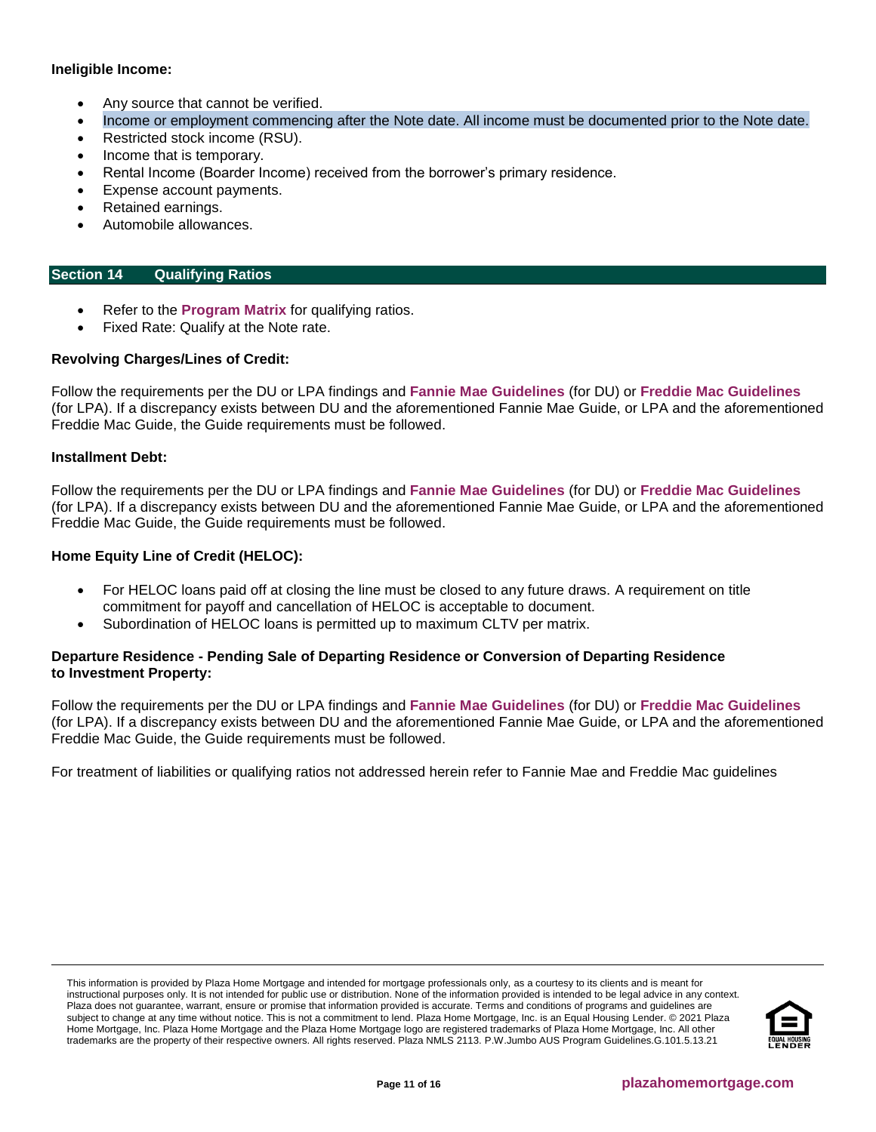# **Ineligible Income:**

- Any source that cannot be verified.
- Income or employment commencing after the Note date. All income must be documented prior to the Note date.
- Restricted stock income (RSU).
- Income that is temporary.
- Rental Income (Boarder Income) received from the borrower's primary residence.
- Expense account payments.
- Retained earnings.
- Automobile allowances.

# <span id="page-10-0"></span>**Section 14 Qualifying Ratios**

- Refer to the **[Program Matrix](#page-1-0)** for qualifying ratios.
- Fixed Rate: Qualify at the Note rate.

## **Revolving Charges/Lines of Credit:**

Follow the requirements per the DU or LPA findings and **[Fannie Mae Guidelines](https://f.hubspotusercontent10.net/hubfs/5238866/Program%20Updates/Fannie%20Mae%20Selling%20Guide%20June%202020_B3-3to3-6.pdf)** (for DU) or **[Freddie Mac Guidelines](https://f.hubspotusercontent10.net/hubfs/5238866/Program%20Updates/Freddie%20Mac%20Seller%20Servicer%20Guide_06.24.20.pdf)** (for LPA). If a discrepancy exists between DU and the aforementioned Fannie Mae Guide, or LPA and the aforementioned Freddie Mac Guide, the Guide requirements must be followed.

#### **Installment Debt:**

Follow the requirements per the DU or LPA findings and **[Fannie Mae Guidelines](https://f.hubspotusercontent10.net/hubfs/5238866/Program%20Updates/Fannie%20Mae%20Selling%20Guide%20June%202020_B3-3to3-6.pdf)** (for DU) or **[Freddie Mac Guidelines](https://f.hubspotusercontent10.net/hubfs/5238866/Program%20Updates/Freddie%20Mac%20Seller%20Servicer%20Guide_06.24.20.pdf)** (for LPA). If a discrepancy exists between DU and the aforementioned Fannie Mae Guide, or LPA and the aforementioned Freddie Mac Guide, the Guide requirements must be followed.

## **Home Equity Line of Credit (HELOC):**

- For HELOC loans paid off at closing the line must be closed to any future draws. A requirement on title commitment for payoff and cancellation of HELOC is acceptable to document.
- Subordination of HELOC loans is permitted up to maximum CLTV per matrix.

#### **Departure Residence - Pending Sale of Departing Residence or Conversion of Departing Residence to Investment Property:**

Follow the requirements per the DU or LPA findings and **[Fannie Mae Guidelines](https://f.hubspotusercontent10.net/hubfs/5238866/Program%20Updates/Fannie%20Mae%20Selling%20Guide%20June%202020_B3-3to3-6.pdf)** (for DU) or **[Freddie Mac Guidelines](https://f.hubspotusercontent10.net/hubfs/5238866/Program%20Updates/Freddie%20Mac%20Seller%20Servicer%20Guide_06.24.20.pdf)** (for LPA). If a discrepancy exists between DU and the aforementioned Fannie Mae Guide, or LPA and the aforementioned Freddie Mac Guide, the Guide requirements must be followed.

For treatment of liabilities or qualifying ratios not addressed herein refer to Fannie Mae and Freddie Mac guidelines

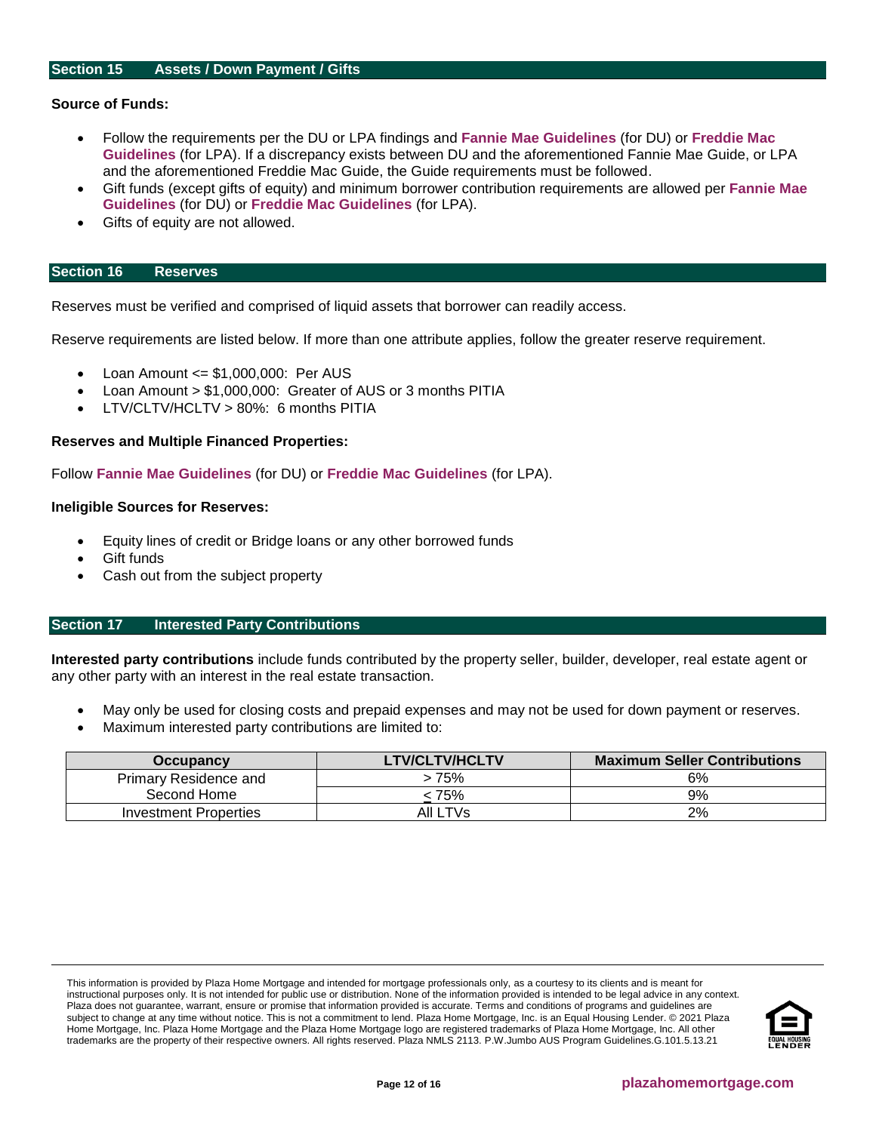#### <span id="page-11-0"></span>**Source of Funds:**

- Follow the requirements per the DU or LPA findings and **[Fannie Mae Guidelines](https://f.hubspotusercontent10.net/hubfs/5238866/Program%20Updates/Fannie%20Mae%20Selling%20Guide%20June%202020_B3-3to3-6.pdf)** (for DU) or **[Freddie Mac](https://f.hubspotusercontent10.net/hubfs/5238866/Program%20Updates/Freddie%20Mac%20Seller%20Servicer%20Guide_06.24.20.pdf)  [Guidelines](https://f.hubspotusercontent10.net/hubfs/5238866/Program%20Updates/Freddie%20Mac%20Seller%20Servicer%20Guide_06.24.20.pdf)** (for LPA). If a discrepancy exists between DU and the aforementioned Fannie Mae Guide, or LPA and the aforementioned Freddie Mac Guide, the Guide requirements must be followed.
- Gift funds (except gifts of equity) and minimum borrower contribution requirements are allowed per **[Fannie Mae](https://f.hubspotusercontent10.net/hubfs/5238866/Program%20Updates/Fannie%20Mae%20Selling%20Guide%20June%202020_B3-3to3-6.pdf)  [Guidelines](https://f.hubspotusercontent10.net/hubfs/5238866/Program%20Updates/Fannie%20Mae%20Selling%20Guide%20June%202020_B3-3to3-6.pdf)** (for DU) or **[Freddie Mac Guidelines](https://f.hubspotusercontent10.net/hubfs/5238866/Program%20Updates/Freddie%20Mac%20Seller%20Servicer%20Guide_06.24.20.pdf)** (for LPA).
- Gifts of equity are not allowed.

#### <span id="page-11-1"></span>**Section 16 Reserves**

Reserves must be verified and comprised of liquid assets that borrower can readily access.

Reserve requirements are listed below. If more than one attribute applies, follow the greater reserve requirement.

- Loan Amount <= \$1,000,000: Per AUS
- Loan Amount > \$1,000,000: Greater of AUS or 3 months PITIA
- LTV/CLTV/HCLTV > 80%: 6 months PITIA

#### **Reserves and Multiple Financed Properties:**

Follow **[Fannie Mae Guidelines](https://f.hubspotusercontent10.net/hubfs/5238866/Program%20Updates/Fannie%20Mae%20Selling%20Guide%20June%202020_B3-3to3-6.pdf)** (for DU) or **[Freddie Mac Guidelines](https://f.hubspotusercontent10.net/hubfs/5238866/Program%20Updates/Freddie%20Mac%20Seller%20Servicer%20Guide_06.24.20.pdf)** (for LPA).

#### **Ineligible Sources for Reserves:**

- Equity lines of credit or Bridge loans or any other borrowed funds
- **Gift funds**
- Cash out from the subject property

#### <span id="page-11-2"></span>**Section 17 Interested Party Contributions**

**Interested party contributions** include funds contributed by the property seller, builder, developer, real estate agent or any other party with an interest in the real estate transaction.

- May only be used for closing costs and prepaid expenses and may not be used for down payment or reserves.
- Maximum interested party contributions are limited to:

| <b>Occupancy</b>      | <b>LTV/CLTV/HCLTV</b> | <b>Maximum Seller Contributions</b> |
|-----------------------|-----------------------|-------------------------------------|
| Primary Residence and | > 75%                 | 6%                                  |
| Second Home           | 75% >                 | 9%                                  |
| Investment Properties | All LTVs              | 2%                                  |

This information is provided by Plaza Home Mortgage and intended for mortgage professionals only, as a courtesy to its clients and is meant for instructional purposes only. It is not intended for public use or distribution. None of the information provided is intended to be legal advice in any context. Plaza does not guarantee, warrant, ensure or promise that information provided is accurate. Terms and conditions of programs and guidelines are subject to change at any time without notice. This is not a commitment to lend. Plaza Home Mortgage, Inc. is an Equal Housing Lender. © 2021 Plaza Home Mortgage, Inc. Plaza Home Mortgage and the Plaza Home Mortgage logo are registered trademarks of Plaza Home Mortgage, Inc. All other trademarks are the property of their respective owners. All rights reserved. Plaza NMLS 2113. P.W.Jumbo AUS Program Guidelines.G.101.5.13.21

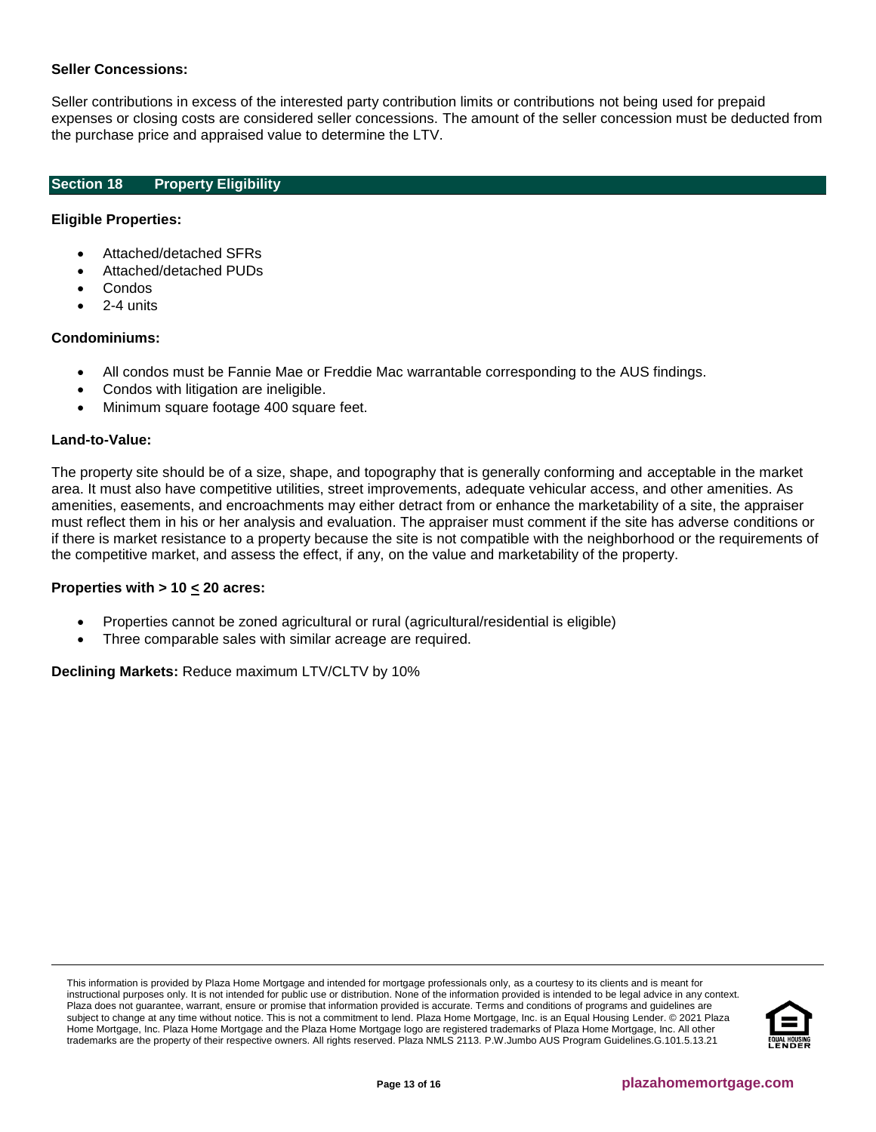#### **Seller Concessions:**

Seller contributions in excess of the interested party contribution limits or contributions not being used for prepaid expenses or closing costs are considered seller concessions. The amount of the seller concession must be deducted from the purchase price and appraised value to determine the LTV.

## <span id="page-12-0"></span>**Section 18 Property Eligibility**

### **Eligible Properties:**

- Attached/detached SFRs
- Attached/detached PUDs
- Condos
- 2-4 units

## **Condominiums:**

- All condos must be Fannie Mae or Freddie Mac warrantable corresponding to the AUS findings.
- Condos with litigation are ineligible.
- Minimum square footage 400 square feet.

#### **Land-to-Value:**

The property site should be of a size, shape, and topography that is generally conforming and acceptable in the market area. It must also have competitive utilities, street improvements, adequate vehicular access, and other amenities. As amenities, easements, and encroachments may either detract from or enhance the marketability of a site, the appraiser must reflect them in his or her analysis and evaluation. The appraiser must comment if the site has adverse conditions or if there is market resistance to a property because the site is not compatible with the neighborhood or the requirements of the competitive market, and assess the effect, if any, on the value and marketability of the property.

#### **Properties with > 10 < 20 acres:**

- Properties cannot be zoned agricultural or rural (agricultural/residential is eligible)
- Three comparable sales with similar acreage are required.

**Declining Markets:** Reduce maximum LTV/CLTV by 10%

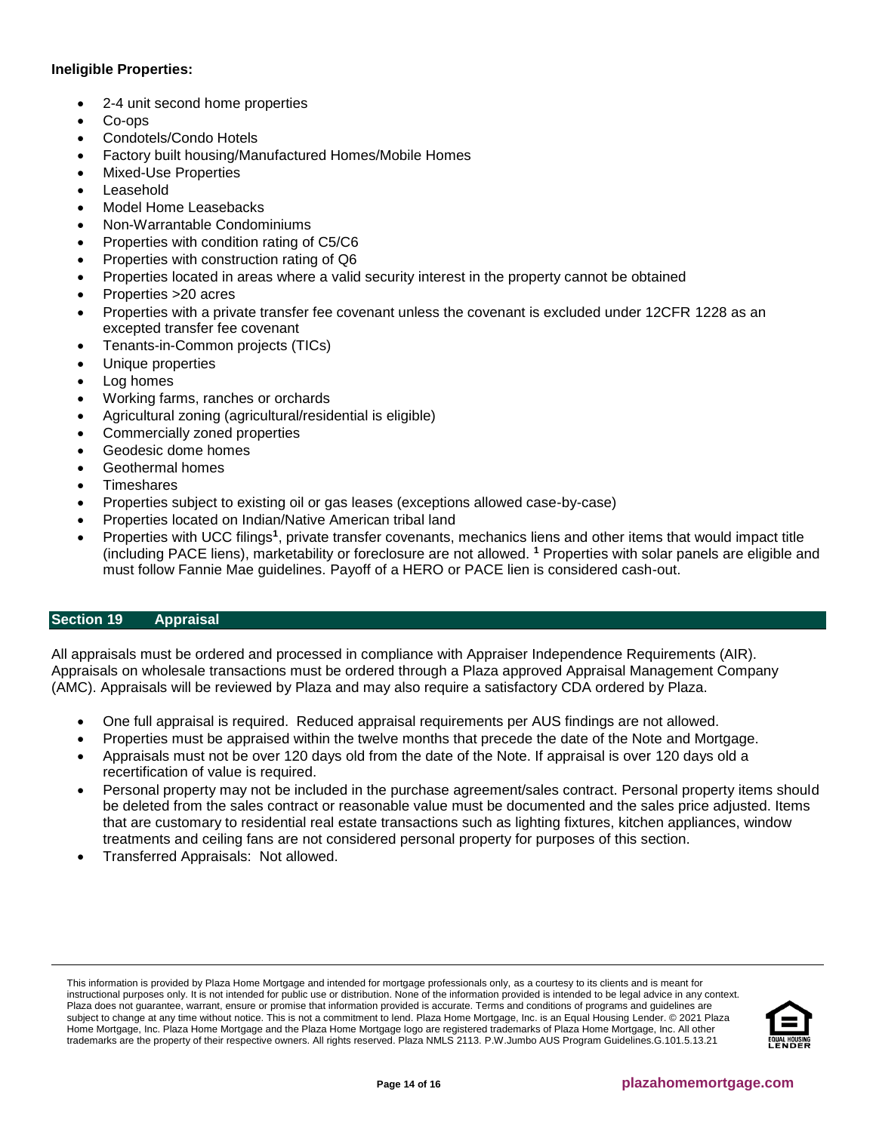## **Ineligible Properties:**

- 2-4 unit second home properties
- Co-ops
- Condotels/Condo Hotels
- Factory built housing/Manufactured Homes/Mobile Homes
- Mixed-Use Properties
- **Leasehold**
- Model Home Leasebacks
- Non-Warrantable Condominiums
- Properties with condition rating of C5/C6
- Properties with construction rating of Q6
- Properties located in areas where a valid security interest in the property cannot be obtained
- Properties >20 acres
- Properties with a private transfer fee covenant unless the covenant is excluded under 12CFR 1228 as an excepted transfer fee covenant
- Tenants-in-Common projects (TICs)
- Unique properties
- Log homes
- Working farms, ranches or orchards
- Agricultural zoning (agricultural/residential is eligible)
- Commercially zoned properties
- Geodesic dome homes
- Geothermal homes
- **Timeshares**
- Properties subject to existing oil or gas leases (exceptions allowed case-by-case)
- Properties located on Indian/Native American tribal land
- Properties with UCC filings<sup>1</sup>, private transfer covenants, mechanics liens and other items that would impact title (including PACE liens), marketability or foreclosure are not allowed. **<sup>1</sup>** Properties with solar panels are eligible and must follow Fannie Mae guidelines. Payoff of a HERO or PACE lien is considered cash-out.

# <span id="page-13-0"></span>**Section 19 Appraisal**

All appraisals must be ordered and processed in compliance with Appraiser Independence Requirements (AIR). Appraisals on wholesale transactions must be ordered through a Plaza approved Appraisal Management Company (AMC). Appraisals will be reviewed by Plaza and may also require a satisfactory CDA ordered by Plaza.

- One full appraisal is required. Reduced appraisal requirements per AUS findings are not allowed.
- Properties must be appraised within the twelve months that precede the date of the Note and Mortgage.
- Appraisals must not be over 120 days old from the date of the Note. If appraisal is over 120 days old a recertification of value is required.
- Personal property may not be included in the purchase agreement/sales contract. Personal property items should be deleted from the sales contract or reasonable value must be documented and the sales price adjusted. Items that are customary to residential real estate transactions such as lighting fixtures, kitchen appliances, window treatments and ceiling fans are not considered personal property for purposes of this section.
- Transferred Appraisals: Not allowed.

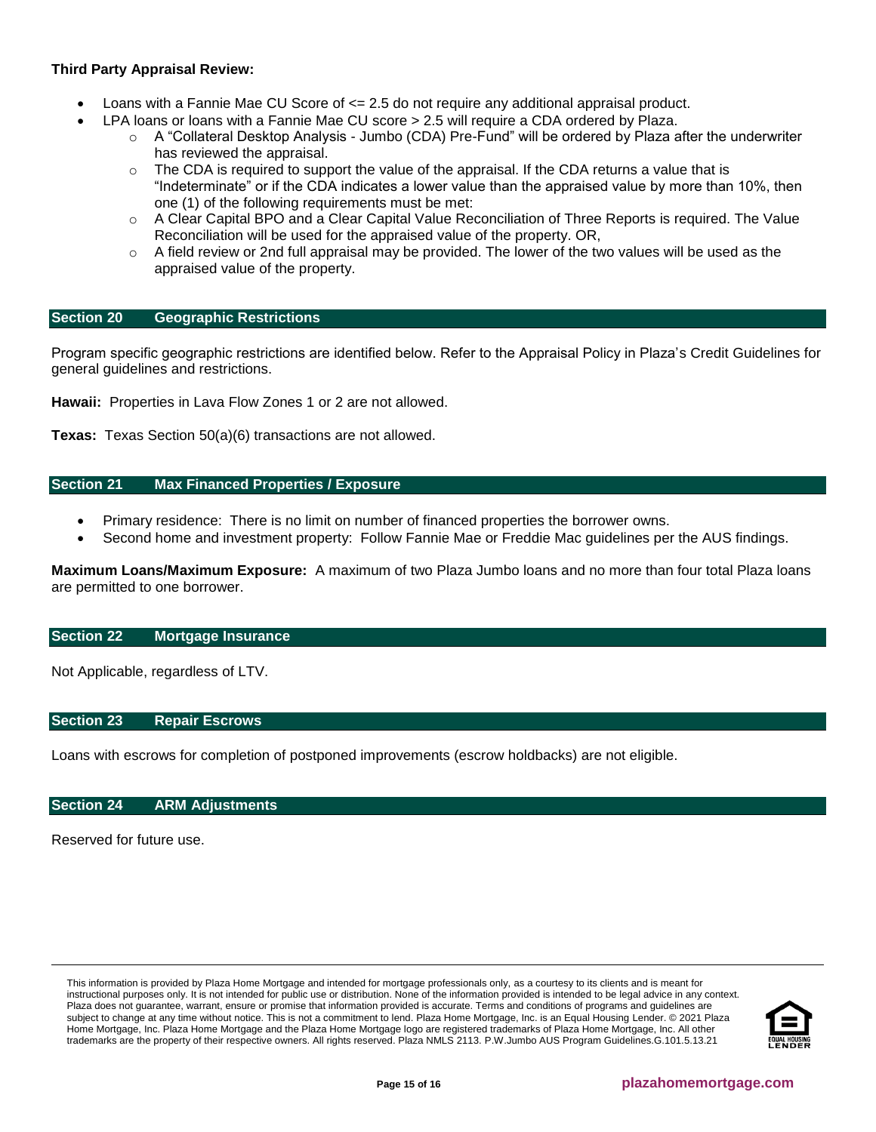# **Third Party Appraisal Review:**

- Loans with a Fannie Mae CU Score of  $\leq$  2.5 do not require any additional appraisal product.
	- LPA loans or loans with a Fannie Mae CU score > 2.5 will require a CDA ordered by Plaza.
		- o A "Collateral Desktop Analysis Jumbo (CDA) Pre-Fund" will be ordered by Plaza after the underwriter has reviewed the appraisal.
		- $\circ$  The CDA is required to support the value of the appraisal. If the CDA returns a value that is "Indeterminate" or if the CDA indicates a lower value than the appraised value by more than 10%, then one (1) of the following requirements must be met:
		- $\circ$  A Clear Capital BPO and a Clear Capital Value Reconciliation of Three Reports is required. The Value Reconciliation will be used for the appraised value of the property. OR,
		- $\circ$  A field review or 2nd full appraisal may be provided. The lower of the two values will be used as the appraised value of the property.

#### <span id="page-14-4"></span>**Section 20 Geographic Restrictions**

Program specific geographic restrictions are identified below. Refer to the Appraisal Policy in Plaza's Credit Guidelines for general guidelines and restrictions.

**Hawaii:** Properties in Lava Flow Zones 1 or 2 are not allowed.

**Texas:** Texas Section 50(a)(6) transactions are not allowed.

#### <span id="page-14-0"></span>**Section 21 Max Financed Properties / Exposure**

- Primary residence: There is no limit on number of financed properties the borrower owns.
- Second home and investment property: Follow Fannie Mae or Freddie Mac guidelines per the AUS findings.

**Maximum Loans/Maximum Exposure:** A maximum of two Plaza Jumbo loans and no more than four total Plaza loans are permitted to one borrower.

### <span id="page-14-1"></span>**Section 22 Mortgage Insurance**

Not Applicable, regardless of LTV.

# <span id="page-14-2"></span>**Section 23 Repair Escrows**

Loans with escrows for completion of postponed improvements (escrow holdbacks) are not eligible.

#### <span id="page-14-3"></span>**Section 24 ARM Adjustments**

Reserved for future use.